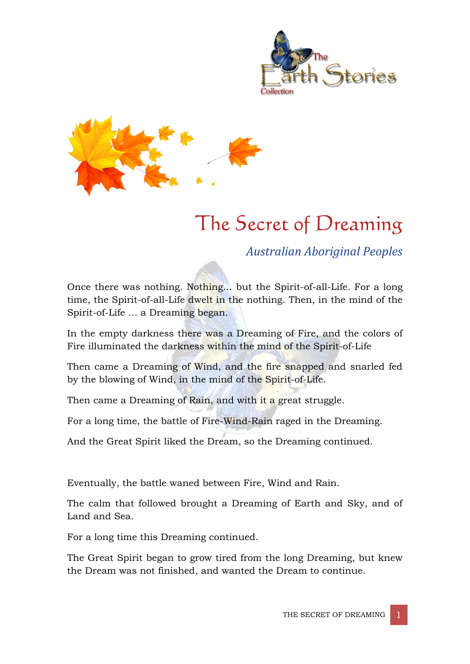



# The Secret of Dreaming

*Australian Aboriginal Peoples*

Once there was nothing. Nothing... but the Spirit-of-all-Life. For a long time, the Spirit-of-all-Life dwelt in the nothing. Then, in the mind of the Spirit-of-Life … a Dreaming began.

In the empty darkness there was a Dreaming of Fire, and the colors of Fire illuminated the darkness within the mind of the Spirit-of-Life

Then came a Dreaming of Wind, and the fire snapped and snarled fed by the blowing of Wind, in the mind of the Spirit-of-Life.

Then came a Dreaming of Rain, and with it a great struggle.

For a long time, the battle of Fire-Wind-Rain raged in the Dreaming.

And the Great Spirit liked the Dream, so the Dreaming continued.

Eventually, the battle waned between Fire, Wind and Rain.

The calm that followed brought a Dreaming of Earth and Sky, and of Land and Sea.

For a long time this Dreaming continued.

The Great Spirit began to grow tired from the long Dreaming, but knew the Dream was not finished, and wanted the Dream to continue.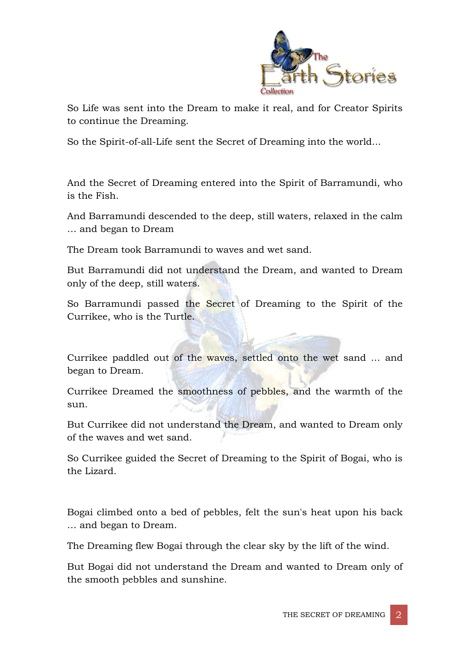

So Life was sent into the Dream to make it real, and for Creator Spirits to continue the Dreaming.

So the Spirit-of-all-Life sent the Secret of Dreaming into the world...

And the Secret of Dreaming entered into the Spirit of Barramundi, who is the Fish.

And Barramundi descended to the deep, still waters, relaxed in the calm … and began to Dream

The Dream took Barramundi to waves and wet sand.

But Barramundi did not understand the Dream, and wanted to Dream only of the deep, still waters.

So Barramundi passed the Secret of Dreaming to the Spirit of the Currikee, who is the Turtle.

Currikee paddled out of the waves, settled onto the wet sand … and began to Dream.

Currikee Dreamed the smoothness of pebbles, and the warmth of the sun.

But Currikee did not understand the Dream, and wanted to Dream only of the waves and wet sand.

So Currikee guided the Secret of Dreaming to the Spirit of Bogai, who is the Lizard.

Bogai climbed onto a bed of pebbles, felt the sun's heat upon his back … and began to Dream.

The Dreaming flew Bogai through the clear sky by the lift of the wind.

But Bogai did not understand the Dream and wanted to Dream only of the smooth pebbles and sunshine.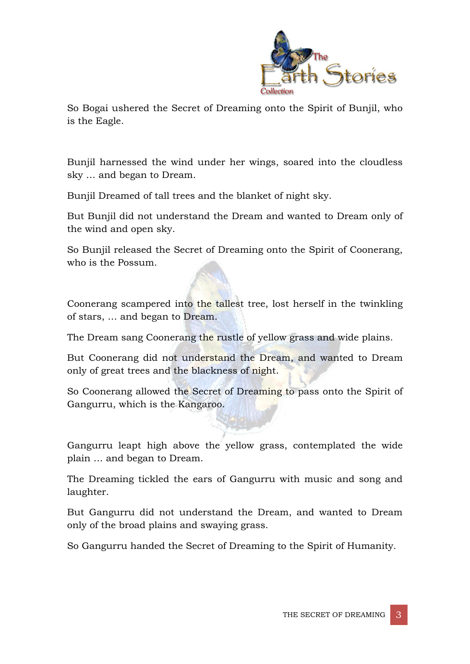

So Bogai ushered the Secret of Dreaming onto the Spirit of Bunjil, who is the Eagle.

Bunjil harnessed the wind under her wings, soared into the cloudless sky … and began to Dream.

Bunjil Dreamed of tall trees and the blanket of night sky.

But Bunjil did not understand the Dream and wanted to Dream only of the wind and open sky.

So Bunjil released the Secret of Dreaming onto the Spirit of Coonerang, who is the Possum.

Coonerang scampered into the tallest tree, lost herself in the twinkling of stars, … and began to Dream.

The Dream sang Coonerang the rustle of yellow grass and wide plains.

But Coonerang did not understand the Dream, and wanted to Dream only of great trees and the blackness of night.

So Coonerang allowed the Secret of Dreaming to pass onto the Spirit of Gangurru, which is the Kangaroo.

Gangurru leapt high above the yellow grass, contemplated the wide plain … and began to Dream.

The Dreaming tickled the ears of Gangurru with music and song and laughter.

But Gangurru did not understand the Dream, and wanted to Dream only of the broad plains and swaying grass.

So Gangurru handed the Secret of Dreaming to the Spirit of Humanity.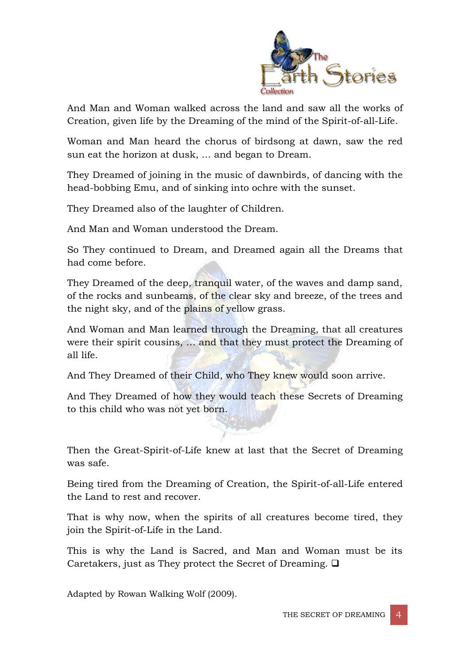

And Man and Woman walked across the land and saw all the works of Creation, given life by the Dreaming of the mind of the Spirit-of-all-Life.

Woman and Man heard the chorus of birdsong at dawn, saw the red sun eat the horizon at dusk, … and began to Dream.

They Dreamed of joining in the music of dawnbirds, of dancing with the head-bobbing Emu, and of sinking into ochre with the sunset.

They Dreamed also of the laughter of Children.

And Man and Woman understood the Dream.

So They continued to Dream, and Dreamed again all the Dreams that had come before.

They Dreamed of the deep, tranquil water, of the waves and damp sand, of the rocks and sunbeams, of the clear sky and breeze, of the trees and the night sky, and of the plains of yellow grass.

And Woman and Man learned through the Dreaming, that all creatures were their spirit cousins, … and that they must protect the Dreaming of all life.

And They Dreamed of their Child, who They knew would soon arrive.

And They Dreamed of how they would teach these Secrets of Dreaming to this child who was not yet born.

Then the Great-Spirit-of-Life knew at last that the Secret of Dreaming was safe.

Being tired from the Dreaming of Creation, the Spirit-of-all-Life entered the Land to rest and recover.

That is why now, when the spirits of all creatures become tired, they join the Spirit-of-Life in the Land.

This is why the Land is Sacred, and Man and Woman must be its Caretakers, just as They protect the Secret of Dreaming.  $\Box$ 

Adapted by Rowan Walking Wolf (2009).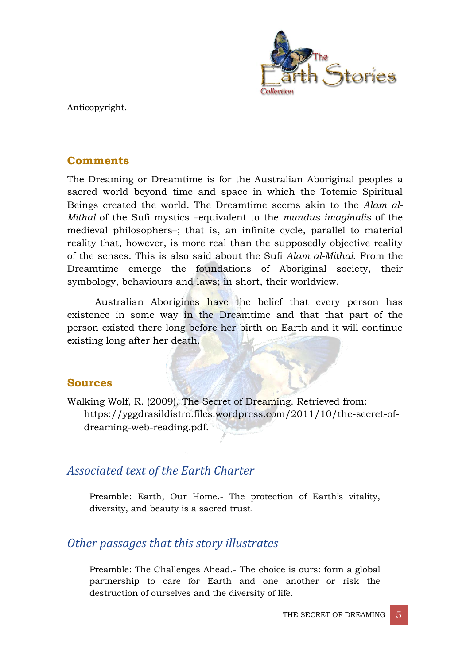

Anticopyright.

### **Comments**

The Dreaming or Dreamtime is for the Australian Aboriginal peoples a sacred world beyond time and space in which the Totemic Spiritual Beings created the world. The Dreamtime seems akin to the *Alam al-Mithal* of the Sufi mystics –equivalent to the *mundus imaginalis* of the medieval philosophers–; that is, an infinite cycle, parallel to material reality that, however, is more real than the supposedly objective reality of the senses. This is also said about the Sufi *Alam al-Mithal*. From the Dreamtime emerge the foundations of Aboriginal society, their symbology, behaviours and laws; in short, their worldview.

Australian Aborigines have the belief that every person has existence in some way in the Dreamtime and that that part of the person existed there long before her birth on Earth and it will continue existing long after her death.

#### **Sources**

Walking Wolf, R. (2009). The Secret of Dreaming. Retrieved from: https://yggdrasildistro.files.wordpress.com/2011/10/the-secret-ofdreaming-web-reading.pdf.

## *Associated text of the Earth Charter*

Preamble: Earth, Our Home.- The protection of Earth's vitality, diversity, and beauty is a sacred trust.

## *Other passages that this story illustrates*

Preamble: The Challenges Ahead.- The choice is ours: form a global partnership to care for Earth and one another or risk the destruction of ourselves and the diversity of life.